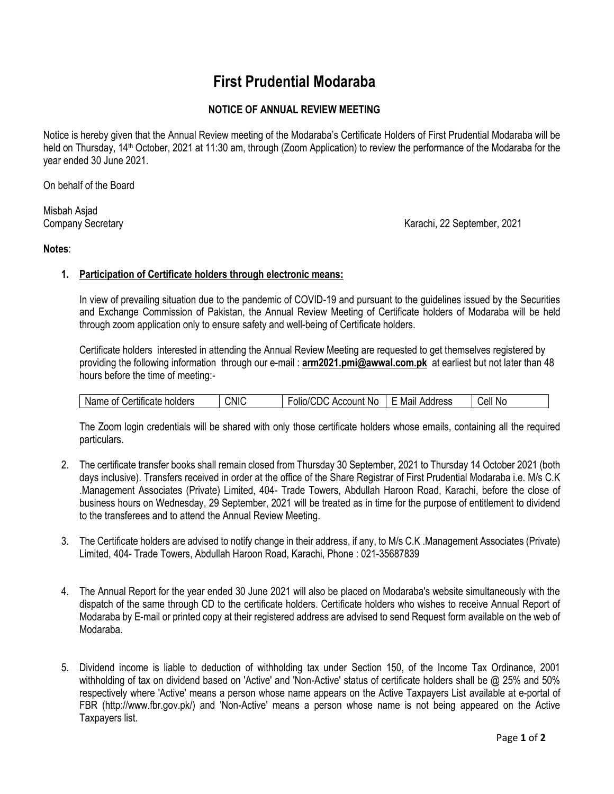# **First Prudential Modaraba**

# **NOTICE OF ANNUAL REVIEW MEETING**

Notice is hereby given that the Annual Review meeting of the Modaraba's Certificate Holders of First Prudential Modaraba will be held on Thursday, 14<sup>th</sup> October, 2021 at 11:30 am, through (Zoom Application) to review the performance of the Modaraba for the year ended 30 June 2021.

On behalf of the Board

Misbah Asjad

Company Secretary Karachi, 22 September, 2021

### **Notes**:

#### **1. Participation of Certificate holders through electronic means:**

In view of prevailing situation due to the pandemic of COVID-19 and pursuant to the guidelines issued by the Securities and Exchange Commission of Pakistan, the Annual Review Meeting of Certificate holders of Modaraba will be held through zoom application only to ensure safety and well-being of Certificate holders.

Certificate holders interested in attending the Annual Review Meeting are requested to get themselves registered by providing the following information through our e-mail : **arm2021.pmi@awwal.com.pk** at earliest but not later than 48 hours before the time of meeting:-

| . <b>.</b> .<br>holders<br>Name<br>- - -<br>0t<br>∩rr ≔<br>псате<br>1.77111 | <b>CNIC</b> | olio/C<br>.JDC<br>Account No | Mail<br>Address | Cell<br>.No |
|-----------------------------------------------------------------------------|-------------|------------------------------|-----------------|-------------|
|-----------------------------------------------------------------------------|-------------|------------------------------|-----------------|-------------|

The Zoom login credentials will be shared with only those certificate holders whose emails, containing all the required particulars.

- 2. The certificate transfer books shall remain closed from Thursday 30 September, 2021 to Thursday 14 October 2021 (both days inclusive). Transfers received in order at the office of the Share Registrar of First Prudential Modaraba i.e. M/s C.K .Management Associates (Private) Limited, 404- Trade Towers, Abdullah Haroon Road, Karachi, before the close of business hours on Wednesday, 29 September, 2021 will be treated as in time for the purpose of entitlement to dividend to the transferees and to attend the Annual Review Meeting.
- 3. The Certificate holders are advised to notify change in their address, if any, to M/s C.K .Management Associates (Private) Limited, 404- Trade Towers, Abdullah Haroon Road, Karachi, Phone : 021-35687839
- 4. The Annual Report for the year ended 30 June 2021 will also be placed on Modaraba's website simultaneously with the dispatch of the same through CD to the certificate holders. Certificate holders who wishes to receive Annual Report of Modaraba by E-mail or printed copy at their registered address are advised to send Request form available on the web of Modaraba.
- 5. Dividend income is liable to deduction of withholding tax under Section 150, of the Income Tax Ordinance, 2001 withholding of tax on dividend based on 'Active' and 'Non-Active' status of certificate holders shall be @ 25% and 50% respectively where 'Active' means a person whose name appears on the Active Taxpayers List available at e-portal of FBR (http://www.fbr.gov.pk/) and 'Non-Active' means a person whose name is not being appeared on the Active Taxpayers list.